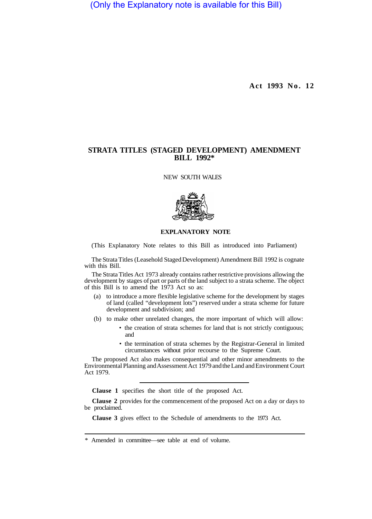(Only the Explanatory note is available for this Bill)

**Act 1993 No. 12** 

## **STRATA TITLES (STAGED DEVELOPMENT) AMENDMENT BILL 1992\***

NEW SOUTH WALES



## **EXPLANATORY NOTE**

(This Explanatory Note relates to this Bill as introduced into Parliament)

The Strata Titles (Leasehold Staged Development) Amendment Bill 1992 is cognate with this Bill.

The Strata Titles Act 1973 already contains rather restrictive provisions allowing the development by stages of part or parts of the land subject to a strata scheme. The object of this Bill is to amend the 1973 Act so as:

- (a) to introduce a more flexible legislative scheme for the development by stages of land (called "development lots") reserved under a strata scheme for future development and subdivision; and
- (b) to make other unrelated changes, the more important of which will allow:
	- the creation of strata schemes for land that is not strictly contiguous; and
	- the termination of strata schemes by the Registrar-General in limited circumstances without prior recourse to the Supreme Court.

The proposed Act also makes consequential and other minor amendments to the Environmental Planning and Assessment Act 1979 and the Land and Environment Court Act 1979.

**Clause 1** specifies the short title of the proposed Act.

**Clause 2** provides for the commencement of the proposed Act on a day or days to be proclaimed.

**Clause 3** gives effect to the Schedule of amendments to the 1973 Act.

<sup>\*</sup> Amended in committee—see table at end of volume.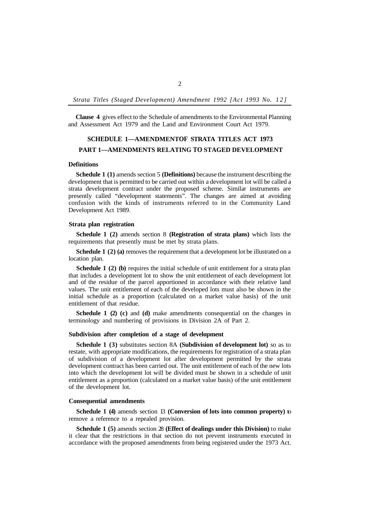**Clause 4** gives effect to the Schedule of amendments to the Environmental Planning and Assessment Act 1979 and the Land and Environment Court Act 1979.

# **SCHEDULE 1-AMENDMENTOF STRATA TITLES ACT 1973 PART 1—AMENDMENTS RELATING TO STAGED DEVELOPMENT**

## **Definitions**

**Schedule 1 (1)** amends section 5 **(Definitions)** because the instrument describing the development that is permitted to be carried out within a development lot will be called a strata development contract under the proposed scheme. Similar instruments are presently called "development statements". The changes are aimed at avoiding confusion with the kinds of instruments referred to in the Community Land Development Act 1989.

#### **Strata plan registration**

**Schedule 1 (2)** amends section 8 **(Registration of strata plans)** which lists the requirements that presently must be met by strata plans.

**Schedule 1 (2) (a)** removes the requirement that a development lot be illustrated on a location plan.

**Schedule 1 (2) (b)** requires the initial schedule of unit entitlement for a strata plan that includes a development lot to show the unit entitlement of each development lot and of the residue of the parcel apportioned in accordance with their relative land values. The unit entitlement of each of the developed lots must also be shown in the initial schedule as a proportion (calculated on a market value basis) of the unit entitlement of that residue.

**Schedule 1 (2) (c)** and **(d)** make amendments consequential on the changes in terminology and numbering of provisions in Division 2A of Part 2.

#### **Subdivision after completion of a stage of development**

**Schedule 1 (3)** substitutes section 8A **(Subdivision of development lot)** so as to restate, with appropriate modifications, the requirements for registration of a strata plan of subdivision of a development lot after development permitted by the strata development contract has been carried out. The unit entitlement of each of the new lots into which the development lot will be divided must be shown in a schedule of unit entitlement as a proportion (calculated on a market value basis) of the unit entitlement of the development lot.

#### **Consequential amendments**

**Schedule 1 (4)** amends section 13 **(Conversion of lots into common property)** to remove a reference to a repealed provision.

**Schedule 1 (5)** amends section 28 **(Effect of dealings under this Division)** to make it clear that the restrictions in that section do not prevent instruments executed in accordance with the proposed amendments from being registered under the 1973 Act.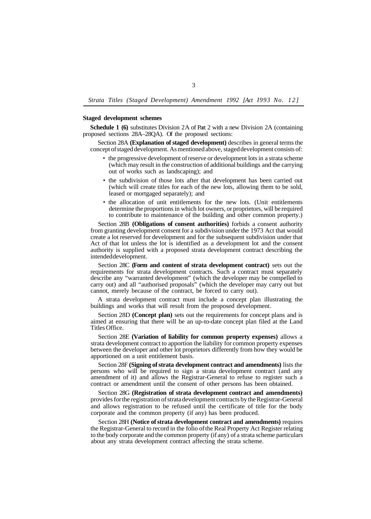## **Staged development schemes**

proposed sections 28A–28QA). Of the proposed sections: **Schedule 1 (6)** substitutes Division 2A of Part 2 with a new Division 2A (containing

Section 28A **(Explanation of staged development)** describes in general terms the concept of staged development. As mentioned above, staged development consists of:

- the progressive development of reserve or development lots in a strata scheme (which may result in the construction of additional buildings and the carrying out of works such as landscaping); and
- the subdivision of those lots after that development has been carried out (which will create titles for each of the new lots, allowing them to be sold, leased or mortgaged separately); and
- the allocation of unit entitlements for the new lots. (Unit entitlements determine the proportions in which lot owners, or proprietors, will be required to contribute to maintenance of the building and other common property.)

Section 28B **(Obligations of consent authorities)** forbids a consent authority from granting development consent for a subdivision under the 1973 Act that would create a lot reserved for development and for the subsequent subdivision under that Act of that lot unless the lot is identified as a development lot and the consent authority is supplied with a proposed strata development contract describing the intended development.

Section 28C **(Form and content of strata development contract)** sets out the requirements for strata development contracts. Such a contract must separately describe any "warranted development" (which the developer may be compelled to carry out) and all "authorised proposals" (which the developer may carry out but cannot, merely because of the contract, be forced to carry out).

A strata development contract must include a concept plan illustrating the buildings and works that will result from the proposed development.

Section 28D **(Concept plan)** sets out the requirements for concept plans and is aimed at ensuring that there will be an up-to-date concept plan filed at the Land Titles Office.

Section 28E **(Variation of liability for common property expenses)** allows a strata development contract to apportion the liability for common property expenses between the developer and other lot proprietors differently from how they would be apportioned on a unit entitlement basis.

Section 28F **(Signing of strata development contract and amendments)** lists the persons who will be required to sign a strata development contract (and any amendment of it) and allows the Registrar-General to refuse to register such a contract or amendment until the consent of other persons has been obtained.

Section 28G **(Registration of strata development contract and amendments)**  provides for the registration of strata development contracts by the Registrar-General and allows registration to be refused until the certificate of title for the body corporate and the common property (if any) has been produced.

Section 28H **(Notice of strata development contract and amendments)** requires the Registrar-General to record in the folio of the Real Property Act Register relating to the body corporate and the common property (if any) of a strata scheme particulars about any strata development contract affecting the strata scheme.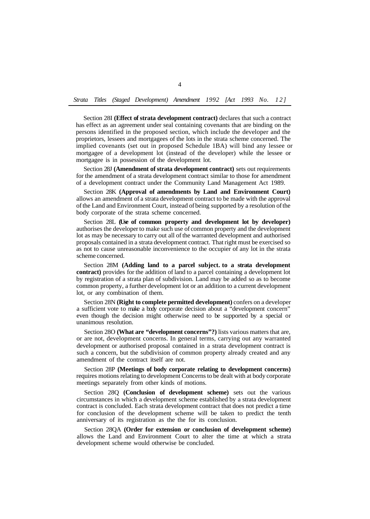Section 28I **(Effect of strata development contract)** declares that such a contract has effect as an agreement under seal containing covenants that are binding on the persons identified in the proposed section, which include the developer and the proprietors, lessees and mortgagees of the lots in the strata scheme concerned. The implied covenants (set out in proposed Schedule 1BA) will bind any lessee or mortgagee of a development lot (instead of the developer) while the lessee or mortgagee is in possession of the development lot.

Section 28J **(Amendment of strata development contract)** sets out requirements for the amendment of a strata development contract similar to those for amendment of a development contract under the Community Land Management Act 1989.

Section 28K **(Approval of amendments by Land and Environment Court)**  allows an amendment of a strata development contract to be made with the approval of the Land and Environment Court, instead of being supported by a resolution of the body corporate of the strata scheme concerned.

Section 28L **(Use of common property and development lot by developer)**  authorises the developer to make such use of common property and the development lot as may be necessary to carry out all of the warranted development and authorised proposals contained in a strata development contract. That right must be exercised so as not to cause unreasonable inconvenience to the occupier of any lot in the strata scheme concerned.

Section 28M **(Adding land to a parcel subject. to a strata development contract)** provides for the addition of land to a parcel containing a development lot by registration of a strata plan of subdivision. Land may be added so as to become common property, a further development lot or an addition to a current development lot, or any combination of them.

Section 28N **(Right to complete permitted development)** confers on a developer a sufficient vote to make a body corporate decision about a "development concern" even though the decision might otherwise need to be supported by a special or unanimous resolution.

Section 28O **(What are "development concerns"?)** lists various matters that are, or are not, development concerns. In general terms, carrying out any warranted development or authorised proposal contained in a strata development contract is such a concern, but the subdivision of common property already created and any amendment of the contract itself are not.

Section 28P **(Meetings of body corporate relating to development concerns)**  requires motions relating to development Concerns to be dealt with at body corporate meetings separately from other kinds of motions.

Section 28Q **(Conclusion of development scheme)** sets out the various circumstances in which a development scheme established by a strata development contract is concluded. Each strata development contract that does not predict a time for conclusion of the development scheme will be taken to predict the tenth anniversary of its registration as the the for its conclusion.

Section 28QA **(Order for extension or conclusion of development scheme)**  allows the Land and Environment Court to alter the time at which a strata development scheme would otherwise be concluded.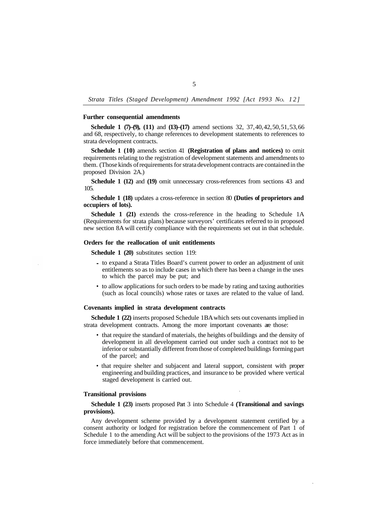#### **Further consequential amendments**

**Schedule 1 (7)–(9), (11)** and (13)–(17) amend sections 32, 37, 40, 42, 50, 51, 53, 66 and 68, respectively, to change references to development statements to references to strata development contracts.

**Schedule 1 (10)** amends section 41 **(Registration of plans and notices)** to omit requirements relating to the registration of development statements and amendments to them. (Those kinds of requirements for strata development contracts are contained in the proposed Division 2A.)

**Schedule 1 (12)** and **(19)** omit unnecessary cross-references from sections 43 and 105.

**Schedule 1 (18)** updates a cross-reference in section 80 **(Duties of proprietors and occupiers of lots).** 

**Schedule 1 (21)** extends the cross-reference in the heading to Schedule 1A (Requirements for strata plans) because surveyors' certificates referred to in proposed new section 8A will certify compliance with the requirements set out in that schedule.

### **Orders for the reallocation of unit entitlements**

**Schedule 1 (20)** substitutes section 119:

- to expand a Strata Titles Board's current power to order an adjustment of unit entitlements so as to include cases in which there has been a change in the uses to which the parcel may be put; and
- to allow applications for such orders to be made by rating and taxing authorities (such as local councils) whose rates or taxes are related to the value of land.

#### **Covenants implied in strata development contracts**

strata development contracts. Among the more important covenants are those: **Schedule 1 (22)** inserts proposed Schedule 1BA which sets out covenants implied in

- that require the standard of materials, the heights of buildings and the density of development in all development carried out under such a contract not to be inferior or substantially different from those of completed buildings forming part of the parcel; and
- that require shelter and subjacent and lateral support, consistent with proper engineering and building practices, and insurance to be provided where vertical staged development is carried out.

#### **Transitional provisions**

**Schedule 1 (23)** inserts proposed Part 3 into Schedule 4 **(Transitional and savings provisions).** 

Any development scheme provided by a development statement certified by a consent authority or lodged for registration before the commencement of Part 1 of Schedule 1 to the amending Act will be subject to the provisions of the 1973 Act as in force immediately before that commencement.

## 5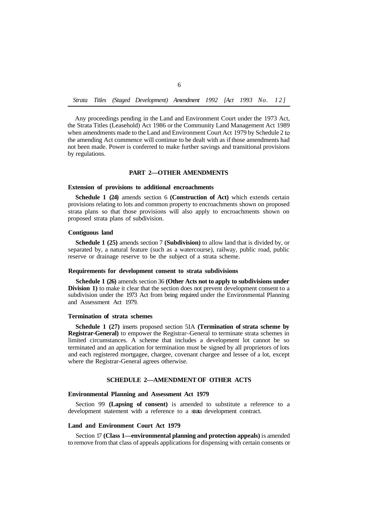*Strata Titles (Staged Development) Amendment 1992 [Act 1993 No. 12]* 

Any proceedings pending in the Land and Environment Court under the 1973 Act, the Strata Titles (Leasehold) Act 1986 or the Community Land Management Act 1989 when amendments made to the Land and Environment Court Act 1979 by Schedule 2 to the amending Act commence will continue to be dealt with as if those amendments had not been made. Power is conferred to make further savings and transitional provisions by regulations.

## **PART 2—OTHER AMENDMENTS**

#### **Extension of provisions to additional encroachments**

**Schedule 1 (24)** amends section 6 **(Construction of Act)** which extends certain provisions relating to lots and common property to encroachments shown on proposed strata plans so that those provisions will also apply to encroachments shown on proposed strata plans of subdivision.

#### **Contiguous land**

**Schedule 1 (25)** amends section 7 **(Subdivision)** to allow land that is divided by, or separated by, a natural feature (such as a watercourse), railway, public road, public reserve or drainage reserve to be the subject of a strata scheme.

#### **Requirements for development consent to strata subdivisions**

**Schedule 1 (26)** amends section 36 **(Other Acts not to apply to subdivisions under Division 1)** to make it clear that the section does not prevent development consent to a subdivision under the 1973 Act from being required under the Environmental Planning and Assessment Act 1979.

#### **Termination of strata schemes**

**Schedule 1 (27)** inserts proposed section 51A **(Termination of strata scheme by Registrar-General)** to empower the Registrar–General to terminate strata schemes in limited circumstances. A scheme that includes a development lot cannot be so terminated and an application for termination must be signed by all proprietors of lots and each registered mortgagee, chargee, covenant chargee and lessee of a lot, except where the Registrar-General agrees otherwise.

## **SCHEDULE 2—AMENDMENT OF OTHER ACTS**

#### **Environmental Planning and Assessment Act 1979**

development statement with a reference to a strata development contract. Section 99 **(Lapsing of consent)** is amended to substitute a reference to a

#### **Land and Environment Court Act 1979**

Section 17 **(Class 1—environmental planning and protection appeals)** is amended to remove from that class of appeals applications for dispensing with certain consents or